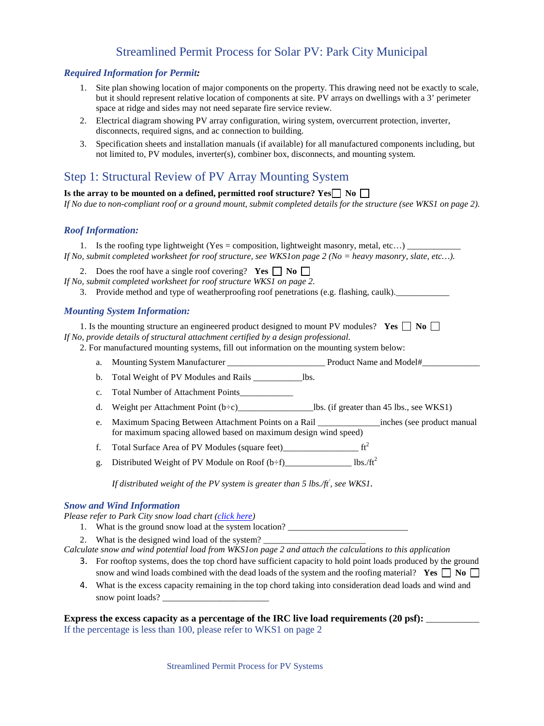## Streamlined Permit Process for Solar PV: Park City Municipal

#### *Required Information for Permit:*

- 1. Site plan showing location of major components on the property. This drawing need not be exactly to scale, but it should represent relative location of components at site. PV arrays on dwellings with a 3' perimeter space at ridge and sides may not need separate fire service review.
- 2. Electrical diagram showing PV array configuration, wiring system, overcurrent protection, inverter, disconnects, required signs, and ac connection to building.
- 3. Specification sheets and installation manuals (if available) for all manufactured components including, but not limited to, PV modules, inverter(s), combiner box, disconnects, and mounting system.

## Step 1: Structural Review of PV Array Mounting System

### Is the array to be mounted on a defined, permitted roof structure?  $Yes \Box No \Box$

*If No due to non-compliant roof or a ground mount, submit completed details for the structure (see WKS1 on page 2).* 

#### *Roof Information:*

1. Is the roofing type lightweight (Yes = composition, lightweight masonry, metal, etc...)  $\qquad \qquad$ *If No, submit completed worksheet for roof structure, see WKS1on page 2 (No = heavy masonry, slate, etc…).* 

2. Does the roof have a single roof covering? **Yes**  $\Box$  **No**  $\Box$ *If No, submit completed worksheet for roof structure WKS1 on page 2.*

3. Provide method and type of weatherproofing roof penetrations (e.g. flashing, caulk).

#### *Mounting System Information:*

1. Is the mounting structure an engineered product designed to mount PV modules? **Yes**  $\Box$  **No**  $\Box$ *If No, provide details of structural attachment certified by a design professional.* 

2. For manufactured mounting systems, fill out information on the mounting system below:

- a. Mounting System Manufacturer \_\_\_\_\_\_\_\_\_\_\_\_\_\_\_\_\_\_\_\_\_\_ Product Name and Model#\_\_\_\_\_\_\_\_\_\_\_\_\_
- b. Total Weight of PV Modules and Rails \_\_\_\_\_\_\_\_\_\_\_lbs.
- c. Total Number of Attachment Points
- d. Weight per Attachment Point (b÷c)\_\_\_\_\_\_\_\_\_\_\_\_\_\_\_\_\_lbs. (if greater than 45 lbs., see WKS1)
- e. Maximum Spacing Between Attachment Points on a Rail \_\_\_\_\_\_\_\_\_\_\_\_\_\_inches (see product manual for maximum spacing allowed based on maximum design wind speed)
- f. Total Surface Area of PV Modules (square feet)\_\_\_\_\_\_\_\_\_\_\_\_\_\_\_\_\_ ft2
- g. Distributed Weight of PV Module on Roof  $(b \div f)$ \_\_\_\_\_\_\_\_\_\_\_\_\_\_\_\_\_\_\_\_\_ lbs./ft<sup>2</sup>

*If distributed weight of the PV system is greater than 5 lbs./ft<sup>2</sup>, see WKS1.* 

#### *Snow and Wind Information*

*Please refer to Park City snow load chart [\(click here\)](http://www.parkcity.org/Modules/ShowDocument.aspx?documentid=935)*

- 1. What is the ground snow load at the system location?
- 2. What is the designed wind load of the system?
- *Calculate snow and wind potential load from WKS1on page 2 and attach the calculations to this application*
	- 3. For rooftop systems, does the top chord have sufficient capacity to hold point loads produced by the ground snow and wind loads combined with the dead loads of the system and the roofing material? **Yes**  $\Box$  **No**  $\Box$
	- 4. What is the excess capacity remaining in the top chord taking into consideration dead loads and wind and snow point loads? \_\_\_\_\_\_\_\_\_\_\_\_\_\_\_\_\_\_\_\_\_\_\_\_

#### **Express the excess capacity as a percentage of the IRC live load requirements (20 psf):** \_\_\_\_\_\_\_\_\_\_\_\_

If the percentage is less than 100, please refer to WKS1 on page 2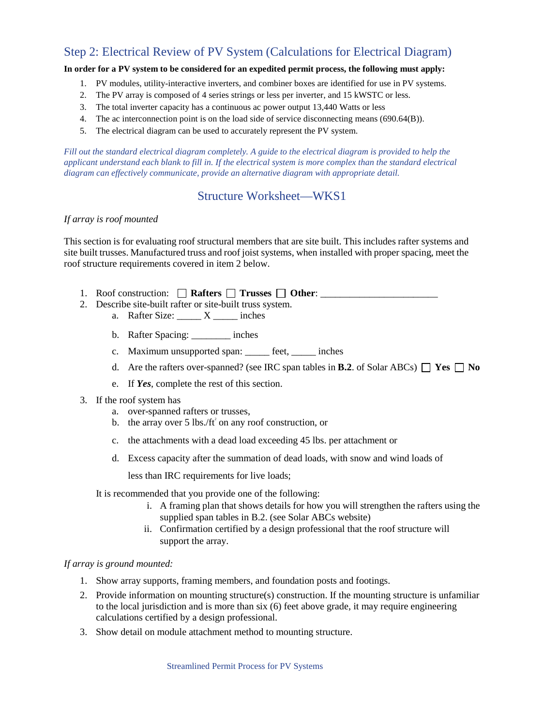# Step 2: Electrical Review of PV System (Calculations for Electrical Diagram)

### **In order for a PV system to be considered for an expedited permit process, the following must apply:**

- 1. PV modules, utility-interactive inverters, and combiner boxes are identified for use in PV systems.
- 2. The PV array is composed of 4 series strings or less per inverter, and 15 kWSTC or less.
- 3. The total inverter capacity has a continuous ac power output 13,440 Watts or less
- 4. The ac interconnection point is on the load side of service disconnecting means (690.64(B)).
- 5. The electrical diagram can be used to accurately represent the PV system.

*Fill out the standard electrical diagram completely. A guide to the electrical diagram is provided to help the* applicant understand each blank to fill in. If the electrical system is more complex than the standard electrical *diagram can effectively communicate, provide an alternative diagram with appropriate detail.* 

## Structure Worksheet—WKS1

#### *If array is roof mounted*

This section is for evaluating roof structural members that are site built. This includes rafter systems and site built trusses. Manufactured truss and roof joist systems, when installed with proper spacing, meet the roof structure requirements covered in item 2 below.

- 1. Roof construction:  $\Box$  Rafters  $\Box$  Trusses  $\Box$  Other:  $\Box$
- 2. Describe site-built rafter or site-built truss system.
	- a. Rafter Size:  $\_\_\_\_$  X  $\_\_\_\$ inches
	- b. Rafter Spacing: \_\_\_\_\_\_\_\_ inches
	- c. Maximum unsupported span: \_\_\_\_\_ feet, \_\_\_\_\_ inches
	- d. Are the rafters over-spanned? (see IRC span tables in **B.2**. of Solar ABCs)  $\Box$  **Yes**  $\Box$  **No**
	- e. If *Yes*, complete the rest of this section.
- 3. If the roof system has
	- a. over-spanned rafters or trusses,
	- b. the array over 5 lbs./ft<sup>2</sup> on any roof construction, or
	- c. the attachments with a dead load exceeding 45 lbs. per attachment or
	- d. Excess capacity after the summation of dead loads, with snow and wind loads of

less than IRC requirements for live loads;

It is recommended that you provide one of the following:

- i. A framing plan that shows details for how you will strengthen the rafters using the supplied span tables in B.2. (see Solar ABCs website)
- ii. Confirmation certified by a design professional that the roof structure will support the array.

### *If array is ground mounted:*

- 1. Show array supports, framing members, and foundation posts and footings.
- 2. Provide information on mounting structure(s) construction. If the mounting structure is unfamiliar to the local jurisdiction and is more than six (6) feet above grade, it may require engineering calculations certified by a design professional.
- 3. Show detail on module attachment method to mounting structure.